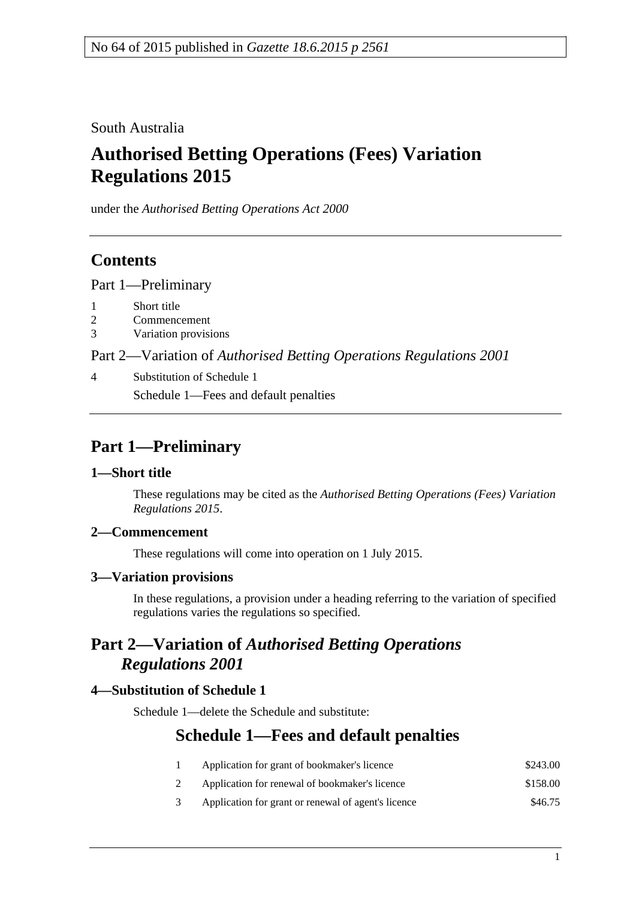South Australia

# **Authorised Betting Operations (Fees) Variation Regulations 2015**

under the *Authorised Betting Operations Act 2000*

### **Contents**

Part [1—Preliminary](#page-0-0)

- 1 [Short title](#page-0-1)
- 2 [Commencement](#page-0-2)
- 3 [Variation provisions](#page-0-3)

Part 2—Variation of *[Authorised Betting Operations Regulations](#page-0-4) 2001*

4 [Substitution of Schedule 1](#page-0-5) Schedule 1—Fees and default penalties

## <span id="page-0-0"></span>**Part 1—Preliminary**

### <span id="page-0-1"></span>**1—Short title**

These regulations may be cited as the *Authorised Betting Operations (Fees) Variation Regulations 2015*.

### <span id="page-0-2"></span>**2—Commencement**

These regulations will come into operation on 1 July 2015.

### <span id="page-0-3"></span>**3—Variation provisions**

In these regulations, a provision under a heading referring to the variation of specified regulations varies the regulations so specified.

### <span id="page-0-4"></span>**Part 2—Variation of** *Authorised Betting Operations Regulations 2001*

### <span id="page-0-5"></span>**4—Substitution of Schedule 1**

Schedule 1—delete the Schedule and substitute:

### **Schedule 1—Fees and default penalties**

- 1 Application for grant of bookmaker's licence \$243.00 2 Application for renewal of bookmaker's licence \$158.00
- 
- 3 Application for grant or renewal of agent's licence \$46.75